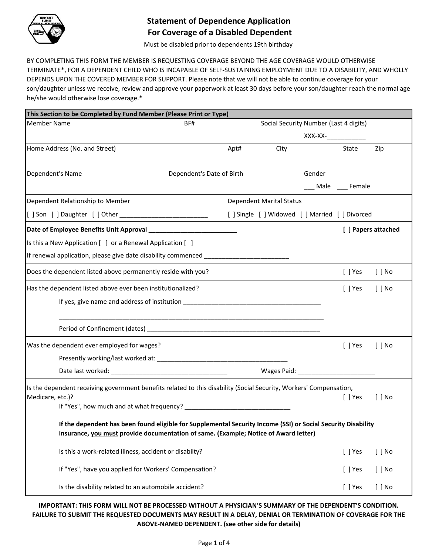

# **Statement of Dependence Application For Coverage of a Disabled Dependent**

Must be disabled prior to dependents 19th birthday

BY COMPLETING THIS FORM THE MEMBER IS REQUESTING COVERAGE BEYOND THE AGE COVERAGE WOULD OTHERWISE TERMINATE\*, FOR A DEPENDENT CHILD WHO IS INCAPABLE OF SELF-SUSTAINING EMPLOYMENT DUE TO A DISABILITY, AND WHOLLY DEPENDS UPON THE COVERED MEMBER FOR SUPPORT. Please note that we will not be able to continue coverage for your son/daughter unless we receive, review and approve your paperwork at least 30 days before your son/daughter reach the normal age he/she would otherwise lose coverage.\*

| This Section to be Completed by Fund Member (Please Print or Type)                                                 |                           |      |                                                 |                                   |                     |                     |
|--------------------------------------------------------------------------------------------------------------------|---------------------------|------|-------------------------------------------------|-----------------------------------|---------------------|---------------------|
| <b>Member Name</b>                                                                                                 | BF#                       |      | Social Security Number (Last 4 digits)          |                                   |                     |                     |
|                                                                                                                    |                           |      |                                                 | $XXX-XX$ - $\qquad \qquad \qquad$ |                     |                     |
| Home Address (No. and Street)                                                                                      |                           | Apt# | City                                            |                                   | State               | Zip                 |
|                                                                                                                    |                           |      |                                                 |                                   |                     |                     |
| Dependent's Name                                                                                                   | Dependent's Date of Birth |      |                                                 | Gender                            |                     |                     |
|                                                                                                                    |                           |      |                                                 |                                   | ___ Male ___ Female |                     |
| Dependent Relationship to Member                                                                                   |                           |      | <b>Dependent Marital Status</b>                 |                                   |                     |                     |
| [[] Son [] Daughter [] Other _____________________________                                                         |                           |      | [ ] Single [ ] Widowed [ ] Married [ ] Divorced |                                   |                     |                     |
|                                                                                                                    |                           |      |                                                 |                                   |                     | [ ] Papers attached |
| Is this a New Application [ ] or a Renewal Application [ ]                                                         |                           |      |                                                 |                                   |                     |                     |
| If renewal application, please give date disability commenced __________________                                   |                           |      |                                                 |                                   |                     |                     |
| Does the dependent listed above permanently reside with you?                                                       |                           |      |                                                 |                                   | $[$ ] Yes           | $[$ $]$ No          |
| Has the dependent listed above ever been institutionalized?                                                        |                           |      |                                                 |                                   | $[$ ] Yes           | $[ ]$ No            |
| If yes, give name and address of institution ___________________________________                                   |                           |      |                                                 |                                   |                     |                     |
|                                                                                                                    |                           |      |                                                 |                                   |                     |                     |
| Was the dependent ever employed for wages?                                                                         |                           |      |                                                 |                                   | [ ] Yes             | $[$ $]$ No          |
|                                                                                                                    |                           |      |                                                 |                                   |                     |                     |
|                                                                                                                    |                           |      |                                                 |                                   |                     |                     |
| Is the dependent receiving government benefits related to this disability (Social Security, Workers' Compensation, |                           |      |                                                 |                                   |                     |                     |
| Medicare, etc.)?                                                                                                   |                           |      |                                                 |                                   | $[$ ] Yes           | $[ ]$ No            |
|                                                                                                                    |                           |      |                                                 |                                   |                     |                     |
| If the dependent has been found eligible for Supplemental Security Income (SSI) or Social Security Disability      |                           |      |                                                 |                                   |                     |                     |
| insurance, you must provide documentation of same. (Example; Notice of Award letter)                               |                           |      |                                                 |                                   |                     |                     |
| Is this a work-related illness, accident or disabilty?                                                             |                           |      |                                                 |                                   | [ ] Yes             | $[ ]$ No            |
| If "Yes", have you applied for Workers' Compensation?                                                              |                           |      |                                                 |                                   | $[ ]$ Yes           | $[ ]$ No            |
| Is the disability related to an automobile accident?                                                               |                           |      |                                                 |                                   | $[ ]$ Yes           | $[ ]$ No            |

# **IMPORTANT: THIS FORM WILL NOT BE PROCESSED WITHOUT A PHYSICIAN'S SUMMARY OF THE DEPENDENT'S CONDITION. FAILURE TO SUBMIT THE REQUESTED DOCUMENTS MAY RESULT IN A DELAY, DENIAL OR TERMINATION OF COVERAGE FOR THE ABOVE-NAMED DEPENDENT. (see other side for details)**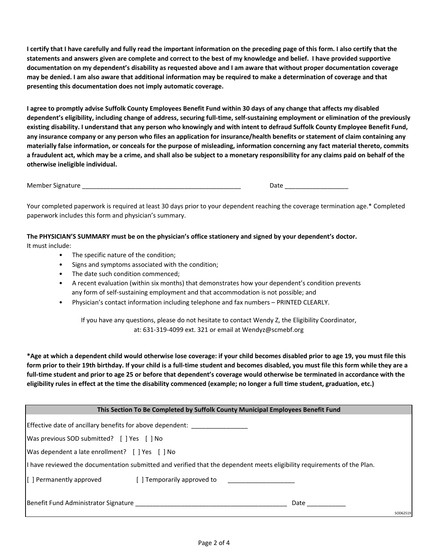**I certify that I have carefully and fully read the important information on the preceding page of this form. I also certify that the statements and answers given are complete and correct to the best of my knowledge and belief. I have provided supportive documentation on my dependent's disability as requested above and I am aware that without proper documentation coverage may be denied. I am also aware that additional information may be required to make a determination of coverage and that presenting this documentation does not imply automatic coverage.** 

**I agree to promptly advise Suffolk County Employees Benefit Fund within 30 days of any change that affects my disabled dependent's eligibility, including change of address, securing full-time, self-sustaining employment or elimination of the previously existing disability. I understand that any person who knowingly and with intent to defraud Suffolk County Employee Benefit Fund, any insurance company or any person who files an application for insurance/health benefits or statement of claim containing any materially false information, or conceals for the purpose of misleading, information concerning any fact material thereto, commits a fraudulent act, which may be a crime, and shall also be subject to a monetary responsibility for any claims paid on behalf of the otherwise ineligible individual.** 

Member Signature \_\_\_\_\_\_\_\_\_\_\_\_\_\_\_\_\_\_\_\_\_\_\_\_\_\_\_\_\_\_\_\_\_\_\_\_\_\_\_\_\_\_\_\_\_ Date \_\_\_\_\_\_\_\_\_\_\_\_\_\_\_\_\_\_

Your completed paperwork is required at least 30 days prior to your dependent reaching the coverage termination age.\* Completed paperwork includes this form and physician's summary.

**The PHYSICIAN'S SUMMARY must be on the physician's office stationery and signed by your dependent's doctor.**

It must include:

- The specific nature of the condition;
- Signs and symptoms associated with the condition;
- The date such condition commenced;
- A recent evaluation (within six months) that demonstrates how your dependent's condition prevents any form of self-sustaining employment and that accommodation is not possible; and
- Physician's contact information including telephone and fax numbers PRINTED CLEARLY.

If you have any questions, please do not hesitate to contact Wendy Z, the Eligibility Coordinator, at: 631-319-4099 ext. 321 or email at Wendyz@scmebf.org

**\*Age at which a dependent child would otherwise lose coverage: if your child becomes disabled prior to age 19, you must file this form prior to their 19th birthday. If your child is a full-time student and becomes disabled, you must file this form while they are a full-time student and prior to age 25 or before that dependent's coverage would otherwise be terminated in accordance with the eligibility rules in effect at the time the disability commenced (example; no longer a full time student, graduation, etc.)**

| This Section To Be Completed by Suffolk County Municipal Employees Benefit Fund                                         |                  |  |  |  |
|-------------------------------------------------------------------------------------------------------------------------|------------------|--|--|--|
| Effective date of ancillary benefits for above dependent:                                                               |                  |  |  |  |
| Was previous SOD submitted? [ ] Yes [ ] No                                                                              |                  |  |  |  |
| Was dependent a late enrollment? [ ] Yes [ ] No                                                                         |                  |  |  |  |
| I have reviewed the documentation submitted and verified that the dependent meets eligibility requirements of the Plan. |                  |  |  |  |
| [[ ] Permanently approved [ ] Temporarily approved to [ ] ______________________                                        |                  |  |  |  |
|                                                                                                                         | Date<br>SOD62519 |  |  |  |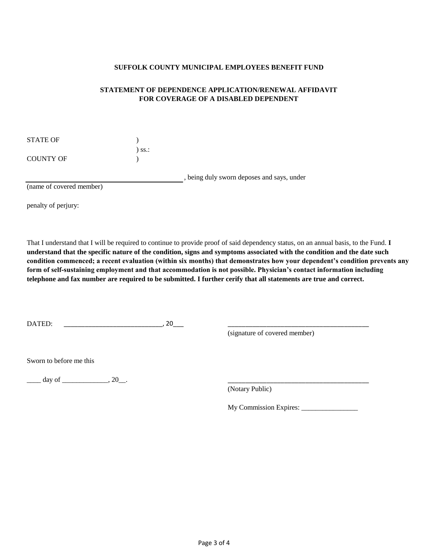#### **SUFFOLK COUNTY MUNICIPAL EMPLOYEES BENEFIT FUND**

## **STATEMENT OF DEPENDENCE APPLICATION/RENEWAL AFFIDAVIT FOR COVERAGE OF A DISABLED DEPENDENT**

| STATE OF  |             |
|-----------|-------------|
|           | $\sum$ SS.: |
| COUNTY OF |             |

, being duly sworn deposes and says, under

(name of covered member)

penalty of perjury:

That I understand that I will be required to continue to provide proof of said dependency status, on an annual basis, to the Fund. **I understand that the specific nature of the condition, signs and symptoms associated with the condition and the date such condition commenced; a recent evaluation (within six months) that demonstrates how your dependent's condition prevents any form of self-sustaining employment and that accommodation is not possible. Physician's contact information including telephone and fax number are required to be submitted. I further cerify that all statements are true and correct.**

DATED: \_\_\_\_\_\_\_\_\_\_\_\_\_\_\_\_\_\_\_\_\_\_\_\_\_\_\_\_, 20\_\_\_ \_\_\_\_\_\_\_\_\_\_\_\_\_\_\_\_\_\_\_\_\_\_\_\_\_\_\_\_\_\_\_\_\_\_\_\_\_\_\_\_

(signature of covered member)

Sworn to before me this

 $\frac{\text{day of}}{\text{day of}}$ 

(Notary Public)

My Commission Expires: \_\_\_\_\_\_\_\_\_\_\_\_\_\_\_\_